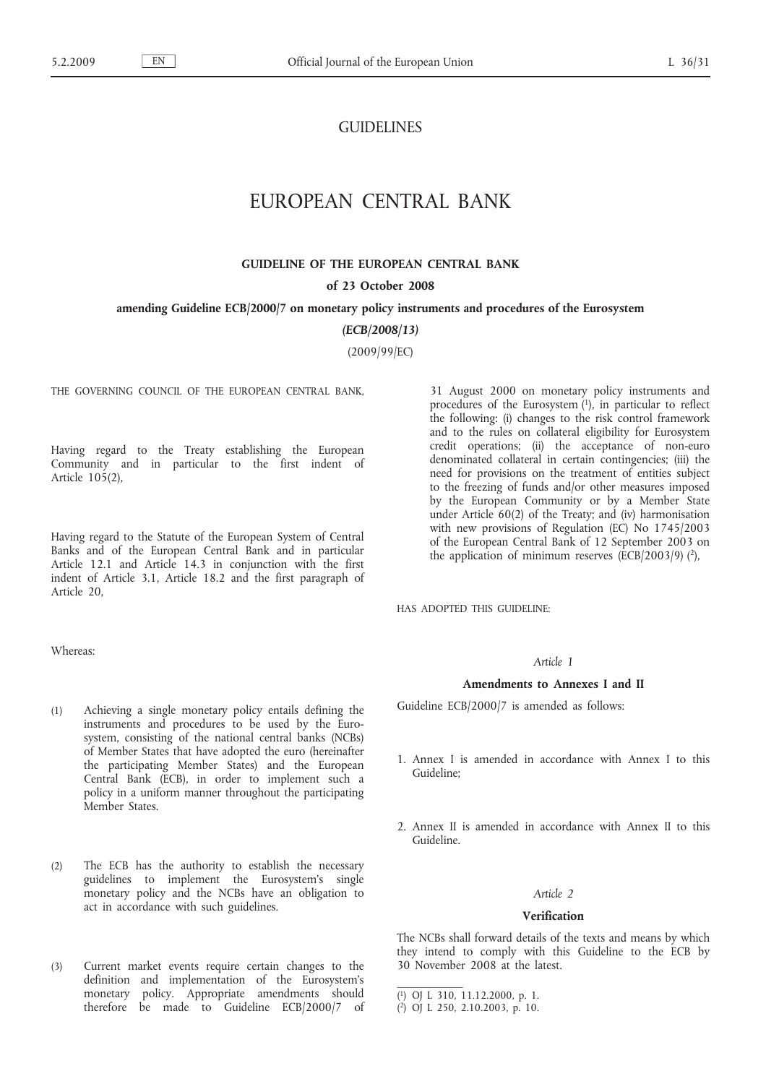# **GUIDELINES**

# EUROPEAN CENTRAL BANK

# **GUIDELINE OF THE EUROPEAN CENTRAL BANK**

### **of 23 October 2008**

### **amending Guideline ECB/2000/7 on monetary policy instruments and procedures of the Eurosystem**

*(ECB/2008/13)*

(2009/99/EC)

THE GOVERNING COUNCIL OF THE EUROPEAN CENTRAL BANK,

Having regard to the Treaty establishing the European Community and in particular to the first indent of Article 105(2),

Having regard to the Statute of the European System of Central Banks and of the European Central Bank and in particular Article 12.1 and Article 14.3 in conjunction with the first indent of Article 3.1, Article 18.2 and the first paragraph of Article 20,

Whereas:

- (1) Achieving a single monetary policy entails defining the instruments and procedures to be used by the Eurosystem, consisting of the national central banks (NCBs) of Member States that have adopted the euro (hereinafter the participating Member States) and the European Central Bank (ECB), in order to implement such a policy in a uniform manner throughout the participating Member States.
- (2) The ECB has the authority to establish the necessary guidelines to implement the Eurosystem's single monetary policy and the NCBs have an obligation to act in accordance with such guidelines.
- (3) Current market events require certain changes to the definition and implementation of the Eurosystem's monetary policy. Appropriate amendments should therefore be made to Guideline ECB/2000/7 of

31 August 2000 on monetary policy instruments and procedures of the Eurosystem  $(1)$ , in particular to reflect the following: (i) changes to the risk control framework and to the rules on collateral eligibility for Eurosystem credit operations; (ii) the acceptance of non-euro denominated collateral in certain contingencies; (iii) the need for provisions on the treatment of entities subject to the freezing of funds and/or other measures imposed by the European Community or by a Member State under Article 60(2) of the Treaty; and (iv) harmonisation with new provisions of Regulation (EC) No 1745/2003 of the European Central Bank of 12 September 2003 on the application of minimum reserves ( $\overline{ECB}/2003/9$ ) (2),

HAS ADOPTED THIS GUIDELINE:

# *Article 1*

### **Amendments to Annexes I and II**

Guideline ECB/2000/7 is amended as follows:

- 1. Annex I is amended in accordance with Annex I to this Guideline;
- 2. Annex II is amended in accordance with Annex II to this Guideline.

### *Article 2*

### **Verification**

The NCBs shall forward details of the texts and means by which they intend to comply with this Guideline to the ECB by 30 November 2008 at the latest.

<sup>(</sup> 1) OJ L 310, 11.12.2000, p. 1.

<sup>(</sup> 2) OJ L 250, 2.10.2003, p. 10.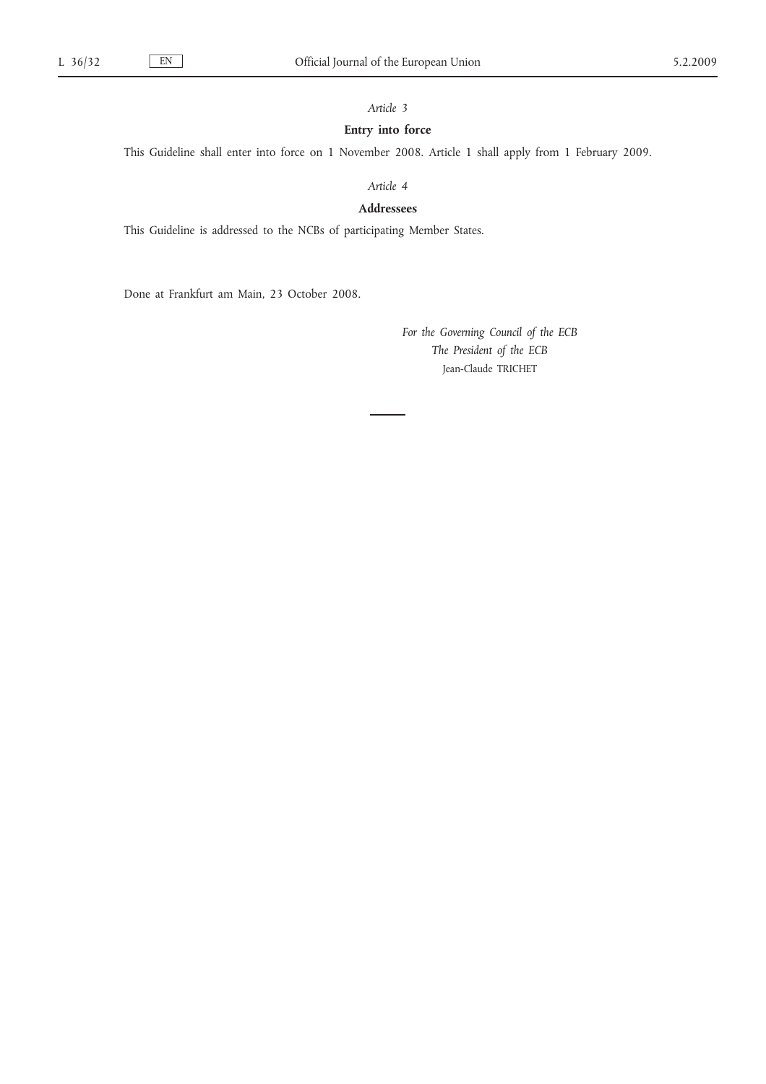# *Article 3*

# **Entry into force**

This Guideline shall enter into force on 1 November 2008. Article 1 shall apply from 1 February 2009.

*Article 4*

**Addressees**

This Guideline is addressed to the NCBs of participating Member States.

Done at Frankfurt am Main, 23 October 2008.

*For the Governing Council of the ECB The President of the ECB* Jean-Claude TRICHET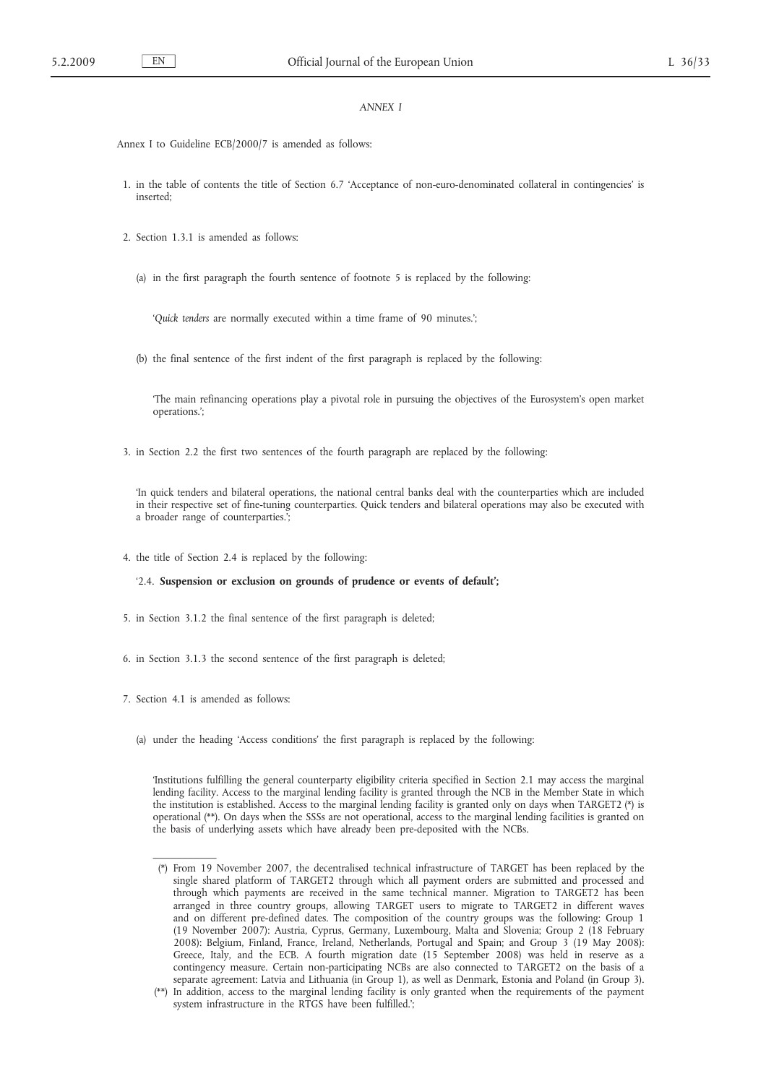## *ANNEX I*

Annex I to Guideline ECB/2000/7 is amended as follows:

- 1. in the table of contents the title of Section 6.7 'Acceptance of non-euro-denominated collateral in contingencies' is inserted;
- 2. Section 1.3.1 is amended as follows:
	- (a) in the first paragraph the fourth sentence of footnote 5 is replaced by the following:

'*Quick tenders* are normally executed within a time frame of 90 minutes.';

(b) the final sentence of the first indent of the first paragraph is replaced by the following:

'The main refinancing operations play a pivotal role in pursuing the objectives of the Eurosystem's open market operations.';

3. in Section 2.2 the first two sentences of the fourth paragraph are replaced by the following:

'In quick tenders and bilateral operations, the national central banks deal with the counterparties which are included in their respective set of fine-tuning counterparties. Quick tenders and bilateral operations may also be executed with a broader range of counterparties.';

4. the title of Section 2.4 is replaced by the following:

### '2.4. **Suspension or exclusion on grounds of prudence or events of default';**

- 5. in Section 3.1.2 the final sentence of the first paragraph is deleted;
- 6. in Section 3.1.3 the second sentence of the first paragraph is deleted;
- 7. Section 4.1 is amended as follows:

 $\overline{\phantom{a}}$  , where  $\overline{\phantom{a}}$ 

(a) under the heading 'Access conditions' the first paragraph is replaced by the following:

'Institutions fulfilling the general counterparty eligibility criteria specified in Section 2.1 may access the marginal lending facility. Access to the marginal lending facility is granted through the NCB in the Member State in which the institution is established. Access to the marginal lending facility is granted only on days when TARGET2 (\*) is operational (\*\*). On days when the SSSs are not operational, access to the marginal lending facilities is granted on the basis of underlying assets which have already been pre-deposited with the NCBs.

<sup>(\*)</sup> From 19 November 2007, the decentralised technical infrastructure of TARGET has been replaced by the single shared platform of TARGET2 through which all payment orders are submitted and processed and through which payments are received in the same technical manner. Migration to TARGET2 has been arranged in three country groups, allowing TARGET users to migrate to TARGET2 in different waves and on different pre-defined dates. The composition of the country groups was the following: Group 1 (19 November 2007): Austria, Cyprus, Germany, Luxembourg, Malta and Slovenia; Group 2 (18 February 2008): Belgium, Finland, France, Ireland, Netherlands, Portugal and Spain; and Group 3 (19 May 2008): Greece, Italy, and the ECB. A fourth migration date (15 September 2008) was held in reserve as a contingency measure. Certain non-participating NCBs are also connected to TARGET2 on the basis of a separate agreement: Latvia and Lithuania (in Group 1), as well as Denmark, Estonia and Poland (in Group 3).

<sup>(\*\*)</sup> In addition, access to the marginal lending facility is only granted when the requirements of the payment system infrastructure in the RTGS have been fulfilled.';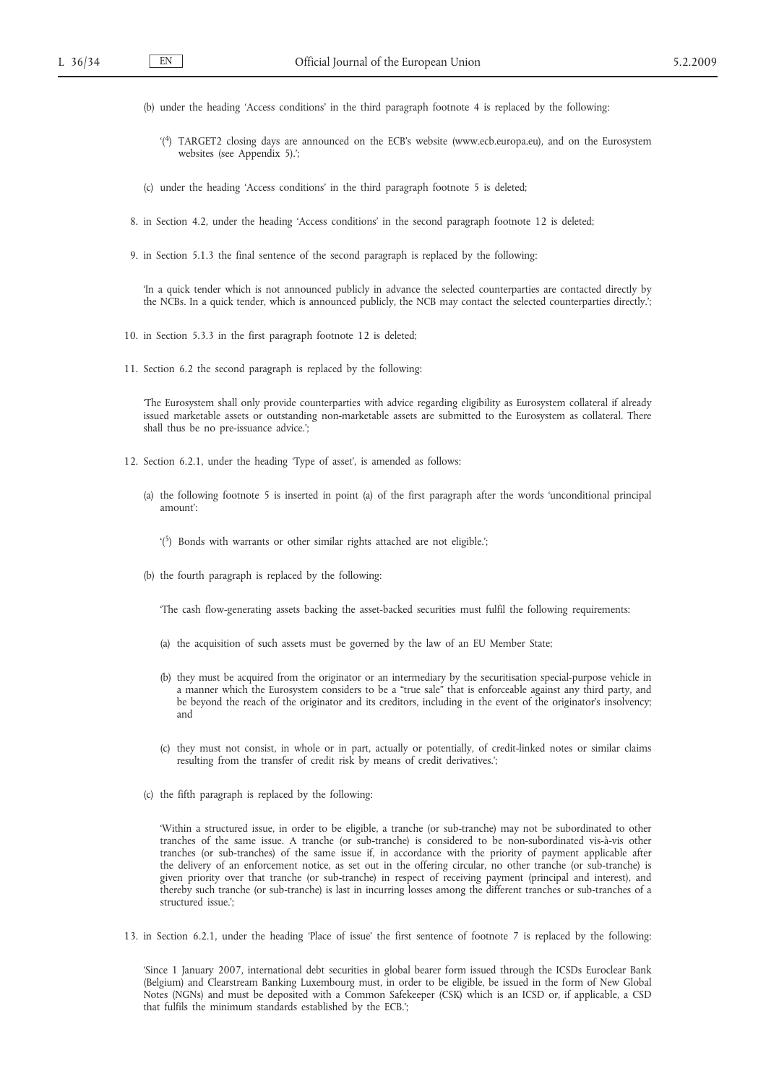- (b) under the heading 'Access conditions' in the third paragraph footnote 4 is replaced by the following:
	- '( 4) TARGET2 closing days are announced on the ECB's website (www.ecb.europa.eu), and on the Eurosystem websites (see Appendix 5).';
- (c) under the heading 'Access conditions' in the third paragraph footnote 5 is deleted;
- 8. in Section 4.2, under the heading 'Access conditions' in the second paragraph footnote 12 is deleted;
- 9. in Section 5.1.3 the final sentence of the second paragraph is replaced by the following:

'In a quick tender which is not announced publicly in advance the selected counterparties are contacted directly by the NCBs. In a quick tender, which is announced publicly, the NCB may contact the selected counterparties directly.';

- 10. in Section 5.3.3 in the first paragraph footnote 12 is deleted;
- 11. Section 6.2 the second paragraph is replaced by the following:

'The Eurosystem shall only provide counterparties with advice regarding eligibility as Eurosystem collateral if already issued marketable assets or outstanding non-marketable assets are submitted to the Eurosystem as collateral. There shall thus be no pre-issuance advice.';

- 12. Section 6.2.1, under the heading 'Type of asset', is amended as follows:
	- (a) the following footnote 5 is inserted in point (a) of the first paragraph after the words 'unconditional principal amount':
		- '( 5) Bonds with warrants or other similar rights attached are not eligible.';
	- (b) the fourth paragraph is replaced by the following:

'The cash flow-generating assets backing the asset-backed securities must fulfil the following requirements:

- (a) the acquisition of such assets must be governed by the law of an EU Member State;
- (b) they must be acquired from the originator or an intermediary by the securitisation special-purpose vehicle in a manner which the Eurosystem considers to be a "true sale" that is enforceable against any third party, and be beyond the reach of the originator and its creditors, including in the event of the originator's insolvency; and
- (c) they must not consist, in whole or in part, actually or potentially, of credit-linked notes or similar claims resulting from the transfer of credit risk by means of credit derivatives.';
- (c) the fifth paragraph is replaced by the following:

'Within a structured issue, in order to be eligible, a tranche (or sub-tranche) may not be subordinated to other tranches of the same issue. A tranche (or sub-tranche) is considered to be non-subordinated vis-à-vis other tranches (or sub-tranches) of the same issue if, in accordance with the priority of payment applicable after the delivery of an enforcement notice, as set out in the offering circular, no other tranche (or sub-tranche) is given priority over that tranche (or sub-tranche) in respect of receiving payment (principal and interest), and thereby such tranche (or sub-tranche) is last in incurring losses among the different tranches or sub-tranches of a structured issue.';

13. in Section 6.2.1, under the heading 'Place of issue' the first sentence of footnote 7 is replaced by the following:

'Since 1 January 2007, international debt securities in global bearer form issued through the ICSDs Euroclear Bank (Belgium) and Clearstream Banking Luxembourg must, in order to be eligible, be issued in the form of New Global Notes (NGNs) and must be deposited with a Common Safekeeper (CSK) which is an ICSD or, if applicable, a CSD that fulfils the minimum standards established by the ECB.';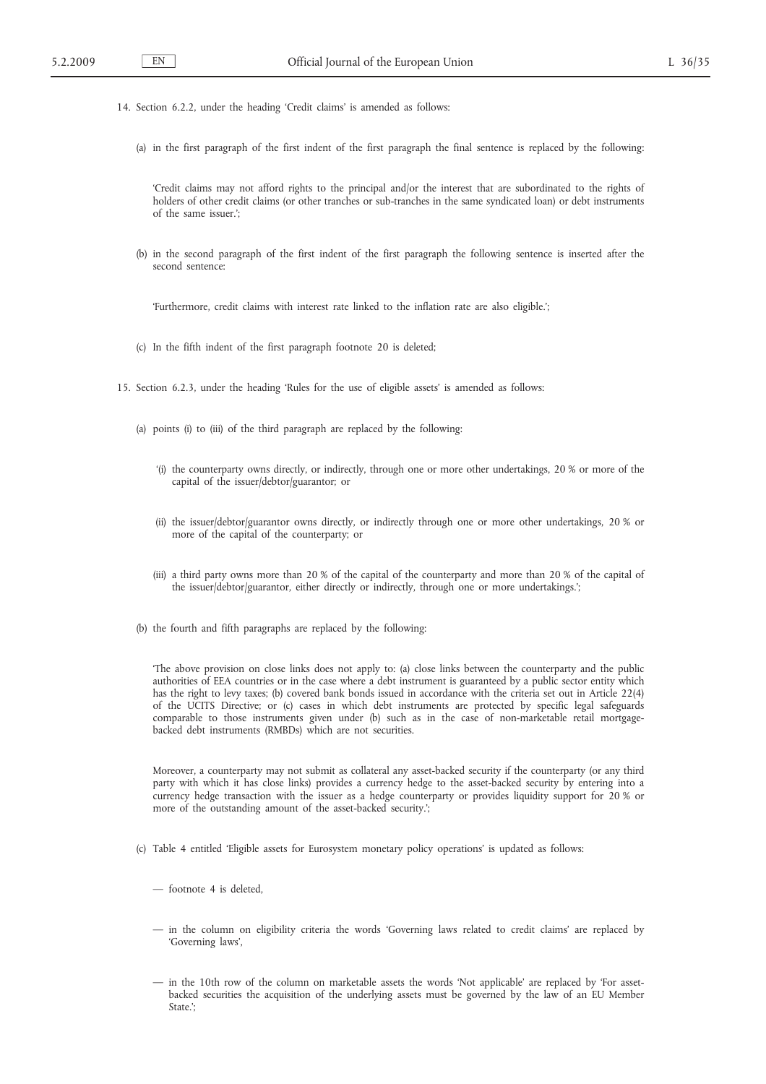- 14. Section 6.2.2, under the heading 'Credit claims' is amended as follows:
	- (a) in the first paragraph of the first indent of the first paragraph the final sentence is replaced by the following:

'Credit claims may not afford rights to the principal and/or the interest that are subordinated to the rights of holders of other credit claims (or other tranches or sub-tranches in the same syndicated loan) or debt instruments of the same issuer.';

(b) in the second paragraph of the first indent of the first paragraph the following sentence is inserted after the second sentence:

'Furthermore, credit claims with interest rate linked to the inflation rate are also eligible.';

- (c) In the fifth indent of the first paragraph footnote 20 is deleted;
- 15. Section 6.2.3, under the heading 'Rules for the use of eligible assets' is amended as follows:
	- (a) points (i) to (iii) of the third paragraph are replaced by the following:
		- '(i) the counterparty owns directly, or indirectly, through one or more other undertakings, 20 % or more of the capital of the issuer/debtor/guarantor; or
		- (ii) the issuer/debtor/guarantor owns directly, or indirectly through one or more other undertakings, 20 % or more of the capital of the counterparty; or
		- (iii) a third party owns more than 20 % of the capital of the counterparty and more than 20 % of the capital of the issuer/debtor/guarantor, either directly or indirectly, through one or more undertakings.';
	- (b) the fourth and fifth paragraphs are replaced by the following:

'The above provision on close links does not apply to: (a) close links between the counterparty and the public authorities of EEA countries or in the case where a debt instrument is guaranteed by a public sector entity which has the right to levy taxes; (b) covered bank bonds issued in accordance with the criteria set out in Article 22(4) of the UCITS Directive; or (c) cases in which debt instruments are protected by specific legal safeguards comparable to those instruments given under (b) such as in the case of non-marketable retail mortgagebacked debt instruments (RMBDs) which are not securities.

Moreover, a counterparty may not submit as collateral any asset-backed security if the counterparty (or any third party with which it has close links) provides a currency hedge to the asset-backed security by entering into a currency hedge transaction with the issuer as a hedge counterparty or provides liquidity support for 20 % or more of the outstanding amount of the asset-backed security.';

- (c) Table 4 entitled 'Eligible assets for Eurosystem monetary policy operations' is updated as follows:
	- footnote 4 is deleted,
	- in the column on eligibility criteria the words 'Governing laws related to credit claims' are replaced by 'Governing laws',
	- in the 10th row of the column on marketable assets the words 'Not applicable' are replaced by 'For assetbacked securities the acquisition of the underlying assets must be governed by the law of an EU Member State.';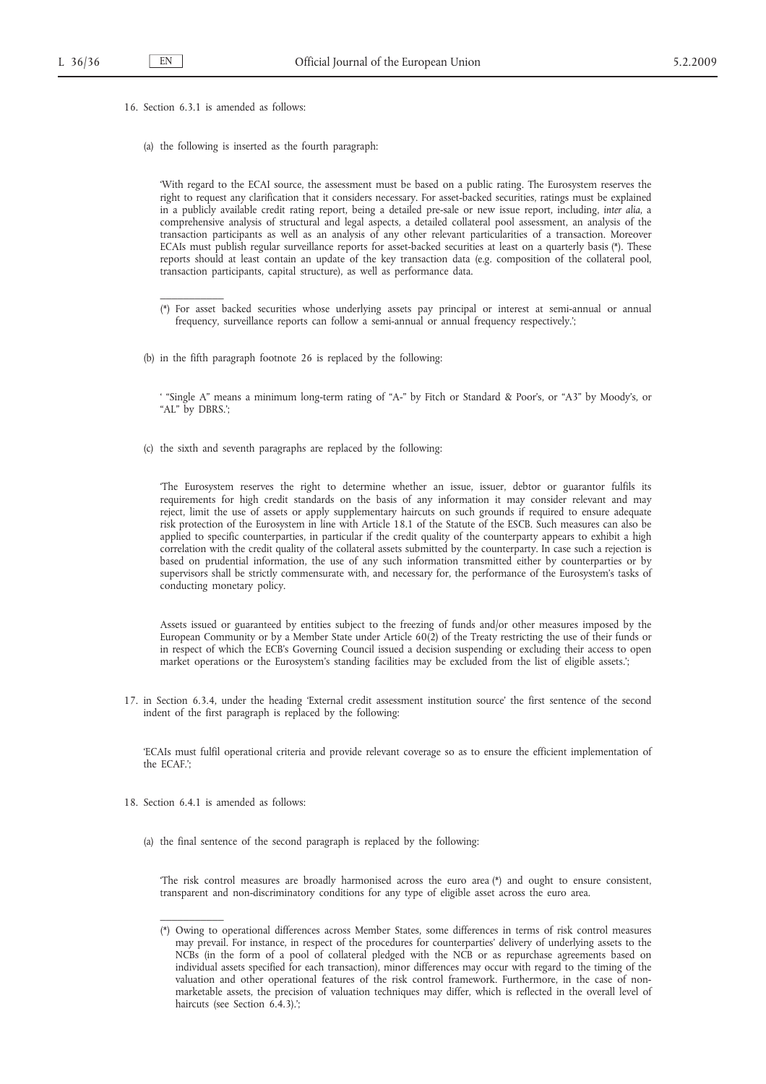16. Section 6.3.1 is amended as follows:

 $\overline{\phantom{a}}$  , where  $\overline{\phantom{a}}$ 

(a) the following is inserted as the fourth paragraph:

'With regard to the ECAI source, the assessment must be based on a public rating. The Eurosystem reserves the right to request any clarification that it considers necessary. For asset-backed securities, ratings must be explained in a publicly available credit rating report, being a detailed pre-sale or new issue report, including, *inter alia*, a comprehensive analysis of structural and legal aspects, a detailed collateral pool assessment, an analysis of the transaction participants as well as an analysis of any other relevant particularities of a transaction. Moreover ECAIs must publish regular surveillance reports for asset-backed securities at least on a quarterly basis (\*). These reports should at least contain an update of the key transaction data (e.g. composition of the collateral pool, transaction participants, capital structure), as well as performance data.

- (\*) For asset backed securities whose underlying assets pay principal or interest at semi-annual or annual frequency, surveillance reports can follow a semi-annual or annual frequency respectively.';
- (b) in the fifth paragraph footnote 26 is replaced by the following:

' "Single A" means a minimum long-term rating of "A-" by Fitch or Standard & Poor's, or "A3" by Moody's, or "AL" by DBRS.';

(c) the sixth and seventh paragraphs are replaced by the following:

'The Eurosystem reserves the right to determine whether an issue, issuer, debtor or guarantor fulfils its requirements for high credit standards on the basis of any information it may consider relevant and may reject, limit the use of assets or apply supplementary haircuts on such grounds if required to ensure adequate risk protection of the Eurosystem in line with Article 18.1 of the Statute of the ESCB. Such measures can also be applied to specific counterparties, in particular if the credit quality of the counterparty appears to exhibit a high correlation with the credit quality of the collateral assets submitted by the counterparty. In case such a rejection is based on prudential information, the use of any such information transmitted either by counterparties or by supervisors shall be strictly commensurate with, and necessary for, the performance of the Eurosystem's tasks of conducting monetary policy.

Assets issued or guaranteed by entities subject to the freezing of funds and/or other measures imposed by the European Community or by a Member State under Article 60(2) of the Treaty restricting the use of their funds or in respect of which the ECB's Governing Council issued a decision suspending or excluding their access to open market operations or the Eurosystem's standing facilities may be excluded from the list of eligible assets.';

17. in Section 6.3.4, under the heading 'External credit assessment institution source' the first sentence of the second indent of the first paragraph is replaced by the following:

'ECAIs must fulfil operational criteria and provide relevant coverage so as to ensure the efficient implementation of the  $FCAF$ .

18. Section 6.4.1 is amended as follows:

 $\overline{\phantom{a}}$  , where  $\overline{\phantom{a}}$ 

(a) the final sentence of the second paragraph is replaced by the following:

'The risk control measures are broadly harmonised across the euro area (\*) and ought to ensure consistent, transparent and non-discriminatory conditions for any type of eligible asset across the euro area.

<sup>(\*)</sup> Owing to operational differences across Member States, some differences in terms of risk control measures may prevail. For instance, in respect of the procedures for counterparties' delivery of underlying assets to the NCBs (in the form of a pool of collateral pledged with the NCB or as repurchase agreements based on individual assets specified for each transaction), minor differences may occur with regard to the timing of the valuation and other operational features of the risk control framework. Furthermore, in the case of nonmarketable assets, the precision of valuation techniques may differ, which is reflected in the overall level of haircuts (see Section 6.4.3).';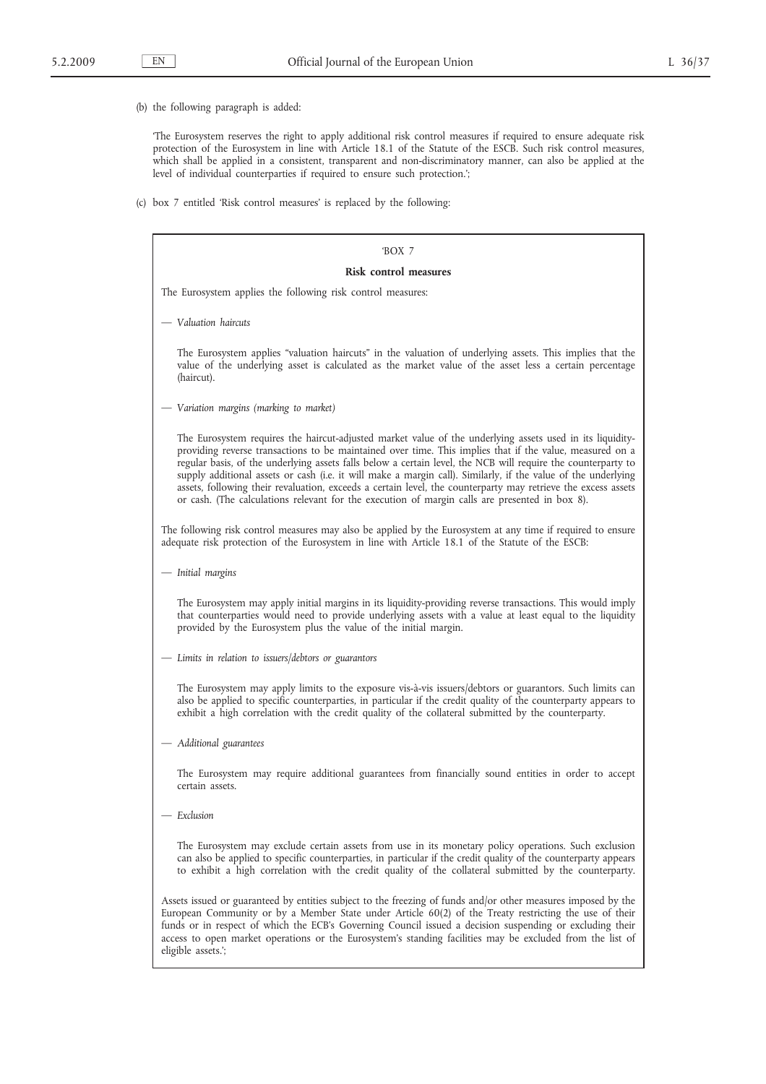(b) the following paragraph is added:

'The Eurosystem reserves the right to apply additional risk control measures if required to ensure adequate risk protection of the Eurosystem in line with Article 18.1 of the Statute of the ESCB. Such risk control measures, which shall be applied in a consistent, transparent and non-discriminatory manner, can also be applied at the level of individual counterparties if required to ensure such protection.';

(c) box 7 entitled 'Risk control measures' is replaced by the following:

| 'BOX 7                                                                                                                                                                                                                                                                                                                                                                                                                                                                                                                                                                                                                                                                     |  |  |  |  |  |  |
|----------------------------------------------------------------------------------------------------------------------------------------------------------------------------------------------------------------------------------------------------------------------------------------------------------------------------------------------------------------------------------------------------------------------------------------------------------------------------------------------------------------------------------------------------------------------------------------------------------------------------------------------------------------------------|--|--|--|--|--|--|
| <b>Risk control measures</b>                                                                                                                                                                                                                                                                                                                                                                                                                                                                                                                                                                                                                                               |  |  |  |  |  |  |
| The Eurosystem applies the following risk control measures:                                                                                                                                                                                                                                                                                                                                                                                                                                                                                                                                                                                                                |  |  |  |  |  |  |
| - Valuation haircuts                                                                                                                                                                                                                                                                                                                                                                                                                                                                                                                                                                                                                                                       |  |  |  |  |  |  |
| The Eurosystem applies "valuation haircuts" in the valuation of underlying assets. This implies that the<br>value of the underlying asset is calculated as the market value of the asset less a certain percentage<br>(haircut).                                                                                                                                                                                                                                                                                                                                                                                                                                           |  |  |  |  |  |  |
| Variation margins (marking to market)                                                                                                                                                                                                                                                                                                                                                                                                                                                                                                                                                                                                                                      |  |  |  |  |  |  |
| The Eurosystem requires the haircut-adjusted market value of the underlying assets used in its liquidity-<br>providing reverse transactions to be maintained over time. This implies that if the value, measured on a<br>regular basis, of the underlying assets falls below a certain level, the NCB will require the counterparty to<br>supply additional assets or cash (i.e. it will make a margin call). Similarly, if the value of the underlying<br>assets, following their revaluation, exceeds a certain level, the counterparty may retrieve the excess assets<br>or cash. (The calculations relevant for the execution of margin calls are presented in box 8). |  |  |  |  |  |  |
| The following risk control measures may also be applied by the Eurosystem at any time if required to ensure<br>adequate risk protection of the Eurosystem in line with Article 18.1 of the Statute of the ESCB:                                                                                                                                                                                                                                                                                                                                                                                                                                                            |  |  |  |  |  |  |
| — Initial margins                                                                                                                                                                                                                                                                                                                                                                                                                                                                                                                                                                                                                                                          |  |  |  |  |  |  |
| The Eurosystem may apply initial margins in its liquidity-providing reverse transactions. This would imply<br>that counterparties would need to provide underlying assets with a value at least equal to the liquidity<br>provided by the Eurosystem plus the value of the initial margin.                                                                                                                                                                                                                                                                                                                                                                                 |  |  |  |  |  |  |
| Limits in relation to issuers/debtors or guarantors                                                                                                                                                                                                                                                                                                                                                                                                                                                                                                                                                                                                                        |  |  |  |  |  |  |
| The Eurosystem may apply limits to the exposure vis-à-vis issuers/debtors or guarantors. Such limits can<br>also be applied to specific counterparties, in particular if the credit quality of the counterparty appears to<br>exhibit a high correlation with the credit quality of the collateral submitted by the counterparty.                                                                                                                                                                                                                                                                                                                                          |  |  |  |  |  |  |
| Additional guarantees                                                                                                                                                                                                                                                                                                                                                                                                                                                                                                                                                                                                                                                      |  |  |  |  |  |  |
| The Eurosystem may require additional guarantees from financially sound entities in order to accept<br>certain assets.                                                                                                                                                                                                                                                                                                                                                                                                                                                                                                                                                     |  |  |  |  |  |  |
| – Exclusion                                                                                                                                                                                                                                                                                                                                                                                                                                                                                                                                                                                                                                                                |  |  |  |  |  |  |
| The Eurosystem may exclude certain assets from use in its monetary policy operations. Such exclusion<br>can also be applied to specific counterparties, in particular if the credit quality of the counterparty appears<br>to exhibit a high correlation with the credit quality of the collateral submitted by the counterparty.                                                                                                                                                                                                                                                                                                                                          |  |  |  |  |  |  |
| Assets issued or guaranteed by entities subject to the freezing of funds and/or other measures imposed by the<br>European Community or by a Member State under Article 60(2) of the Treaty restricting the use of their<br>funds or in respect of which the ECB's Governing Council issued a decision suspending or excluding their<br>access to open market operations or the Eurosystem's standing facilities may be excluded from the list of<br>eligible assets.';                                                                                                                                                                                                     |  |  |  |  |  |  |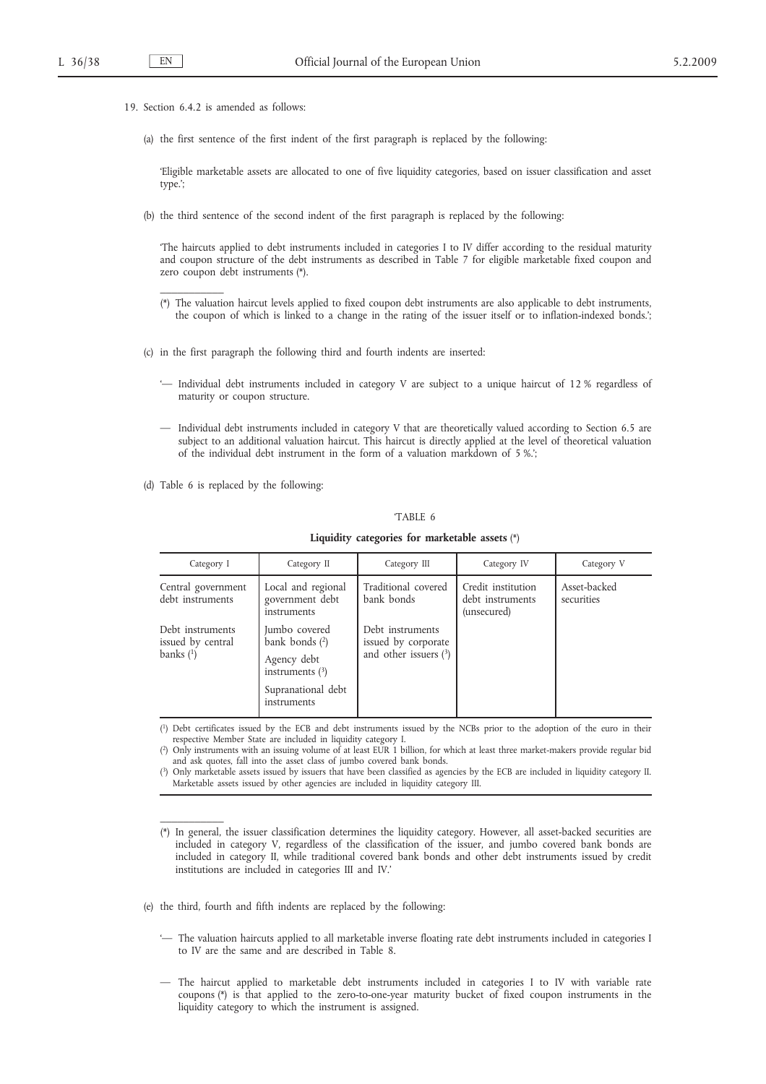19. Section 6.4.2 is amended as follows:

 $\overline{\phantom{a}}$  , where  $\overline{\phantom{a}}$ 

 $\overline{\phantom{a}}$  , where  $\overline{\phantom{a}}$ 

(a) the first sentence of the first indent of the first paragraph is replaced by the following:

'Eligible marketable assets are allocated to one of five liquidity categories, based on issuer classification and asset type.';

(b) the third sentence of the second indent of the first paragraph is replaced by the following:

'The haircuts applied to debt instruments included in categories I to IV differ according to the residual maturity and coupon structure of the debt instruments as described in Table 7 for eligible marketable fixed coupon and zero coupon debt instruments (\*).

- (\*) The valuation haircut levels applied to fixed coupon debt instruments are also applicable to debt instruments, the coupon of which is linked to a change in the rating of the issuer itself or to inflation-indexed bonds.';
- (c) in the first paragraph the following third and fourth indents are inserted:
	- '— Individual debt instruments included in category V are subject to a unique haircut of 12 % regardless of maturity or coupon structure.
	- Individual debt instruments included in category V that are theoretically valued according to Section 6.5 are subject to an additional valuation haircut. This haircut is directly applied at the level of theoretical valuation of the individual debt instrument in the form of a valuation markdown of 5 %.';
- (d) Table 6 is replaced by the following:

### 'TABLE 6

| Category I                                           | Category II                                                                                                | Category III                                                       | Category IV                                           | Category V                 |
|------------------------------------------------------|------------------------------------------------------------------------------------------------------------|--------------------------------------------------------------------|-------------------------------------------------------|----------------------------|
| Central government<br>debt instruments               | Local and regional<br>government debt<br>instruments                                                       | Traditional covered<br>bank bonds                                  | Credit institution<br>debt instruments<br>(unsecured) | Asset-backed<br>securities |
| Debt instruments<br>issued by central<br>banks $(1)$ | Jumbo covered<br>bank bonds $(2)$<br>Agency debt<br>instruments $(3)$<br>Supranational debt<br>instruments | Debt instruments<br>issued by corporate<br>and other issuers $(3)$ |                                                       |                            |

**Liquidity categories for marketable assets** (\*)

( 1) Debt certificates issued by the ECB and debt instruments issued by the NCBs prior to the adoption of the euro in their respective Member State are included in liquidity category I.

( 2) Only instruments with an issuing volume of at least EUR 1 billion, for which at least three market-makers provide regular bid and ask quotes, fall into the asset class of jumbo covered bank bonds.

( 3) Only marketable assets issued by issuers that have been classified as agencies by the ECB are included in liquidity category II. Marketable assets issued by other agencies are included in liquidity category III.

(\*) In general, the issuer classification determines the liquidity category. However, all asset-backed securities are included in category V, regardless of the classification of the issuer, and jumbo covered bank bonds are included in category II, while traditional covered bank bonds and other debt instruments issued by credit institutions are included in categories III and IV.'

(e) the third, fourth and fifth indents are replaced by the following:

- '— The valuation haircuts applied to all marketable inverse floating rate debt instruments included in categories I to IV are the same and are described in Table 8.
- The haircut applied to marketable debt instruments included in categories I to IV with variable rate coupons (\*) is that applied to the zero-to-one-year maturity bucket of fixed coupon instruments in the liquidity category to which the instrument is assigned.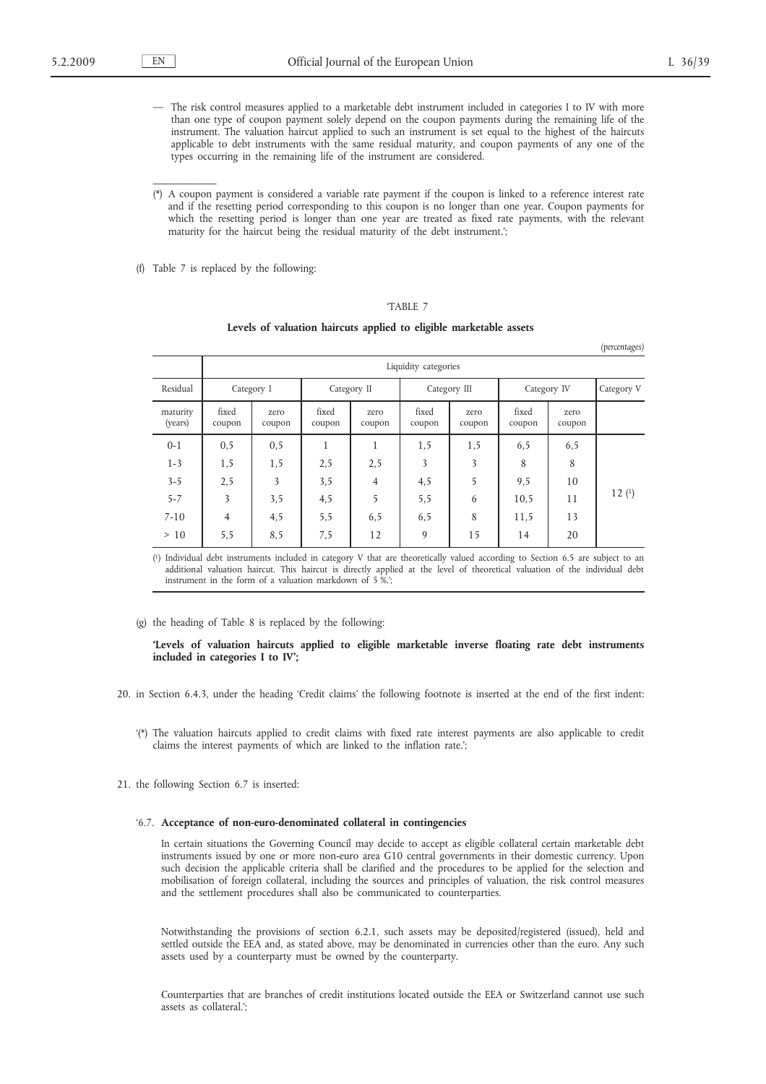$\frac{1}{2}$ 

*(percentages)*

- The risk control measures applied to a marketable debt instrument included in categories I to IV with more than one type of coupon payment solely depend on the coupon payments during the remaining life of the instrument. The valuation haircut applied to such an instrument is set equal to the highest of the haircuts applicable to debt instruments with the same residual maturity, and coupon payments of any one of the types occurring in the remaining life of the instrument are considered.
- (\*) A coupon payment is considered a variable rate payment if the coupon is linked to a reference interest rate and if the resetting period corresponding to this coupon is no longer than one year. Coupon payments for which the resetting period is longer than one year are treated as fixed rate payments, with the relevant maturity for the haircut being the residual maturity of the debt instrument.';
- (f) Table 7 is replaced by the following:

# 'TABLE 7

#### **Levels of valuation haircuts applied to eligible marketable assets**

|                     |                      |                |                 |                |                 |                |                 |                | $\mathbf{v}$<br>$\circ$ |
|---------------------|----------------------|----------------|-----------------|----------------|-----------------|----------------|-----------------|----------------|-------------------------|
|                     | Liquidity categories |                |                 |                |                 |                |                 |                |                         |
| Residual            |                      | Category I     |                 | Category II    |                 | Category III   | Category IV     |                | Category V              |
| maturity<br>(years) | fixed<br>coupon      | zero<br>coupon | fixed<br>coupon | zero<br>coupon | fixed<br>coupon | zero<br>coupon | fixed<br>coupon | zero<br>coupon |                         |
| $0 - 1$             | 0, 5                 | 0,5            | 1               | 1              | 1,5             | 1,5            | 6,5             | 6,5            |                         |
| $1 - 3$             | 1,5                  | 1,5            | 2,5             | 2,5            | 3               | 3              | 8               | 8              |                         |
| $3 - 5$             | 2,5                  | 3              | 3,5             | $\overline{4}$ | 4,5             | 5              | 9,5             | 10             |                         |
| $5 - 7$             | 3                    | 3,5            | 4,5             | 5              | 5,5             | 6              | 10,5            | 11             | 12(1)                   |
| $7 - 10$            | 4                    | 4,5            | 5,5             | 6,5            | 6,5             | 8              | 11,5            | 13             |                         |
| >10                 | 5,5                  | 8,5            | 7,5             | 12             | 9               | 15             | 14              | 20             |                         |

( 1) Individual debt instruments included in category V that are theoretically valued according to Section 6.5 are subject to an additional valuation haircut. This haircut is directly applied at the level of theoretical valuation of the individual debt instrument in the form of a valuation markdown of 5 %.';

#### (g) the heading of Table 8 is replaced by the following:

### **'Levels of valuation haircuts applied to eligible marketable inverse floating rate debt instruments included in categories I to IV';**

- 20. in Section 6.4.3, under the heading 'Credit claims' the following footnote is inserted at the end of the first indent:
	- '(\*) The valuation haircuts applied to credit claims with fixed rate interest payments are also applicable to credit claims the interest payments of which are linked to the inflation rate.';
- 21. the following Section 6.7 is inserted:

### '6.7. **Acceptance of non-euro-denominated collateral in contingencies**

In certain situations the Governing Council may decide to accept as eligible collateral certain marketable debt instruments issued by one or more non-euro area G10 central governments in their domestic currency. Upon such decision the applicable criteria shall be clarified and the procedures to be applied for the selection and mobilisation of foreign collateral, including the sources and principles of valuation, the risk control measures and the settlement procedures shall also be communicated to counterparties.

Notwithstanding the provisions of section 6.2.1, such assets may be deposited/registered (issued), held and settled outside the EEA and, as stated above, may be denominated in currencies other than the euro. Any such assets used by a counterparty must be owned by the counterparty.

Counterparties that are branches of credit institutions located outside the EEA or Switzerland cannot use such assets as collateral.';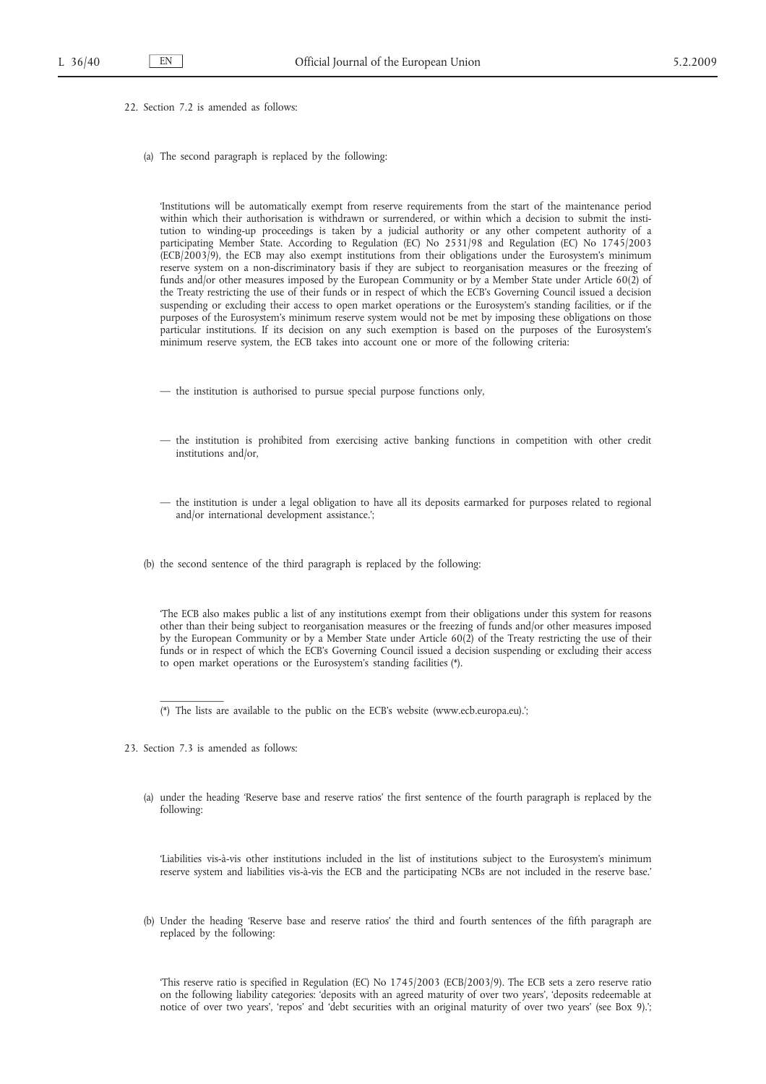- 22. Section 7.2 is amended as follows:
	- (a) The second paragraph is replaced by the following:

'Institutions will be automatically exempt from reserve requirements from the start of the maintenance period within which their authorisation is withdrawn or surrendered, or within which a decision to submit the institution to winding-up proceedings is taken by a judicial authority or any other competent authority of a participating Member State. According to Regulation (EC) No 2531/98 and Regulation (EC) No 1745/2003 (ECB/2003/9), the ECB may also exempt institutions from their obligations under the Eurosystem's minimum reserve system on a non-discriminatory basis if they are subject to reorganisation measures or the freezing of funds and/or other measures imposed by the European Community or by a Member State under Article 60(2) of the Treaty restricting the use of their funds or in respect of which the ECB's Governing Council issued a decision suspending or excluding their access to open market operations or the Eurosystem's standing facilities, or if the purposes of the Eurosystem's minimum reserve system would not be met by imposing these obligations on those particular institutions. If its decision on any such exemption is based on the purposes of the Eurosystem's minimum reserve system, the ECB takes into account one or more of the following criteria:

- the institution is authorised to pursue special purpose functions only,
- the institution is prohibited from exercising active banking functions in competition with other credit institutions and/or,
- the institution is under a legal obligation to have all its deposits earmarked for purposes related to regional and/or international development assistance.';
- (b) the second sentence of the third paragraph is replaced by the following:

'The ECB also makes public a list of any institutions exempt from their obligations under this system for reasons other than their being subject to reorganisation measures or the freezing of funds and/or other measures imposed by the European Community or by a Member State under Article 60(2) of the Treaty restricting the use of their funds or in respect of which the ECB's Governing Council issued a decision suspending or excluding their access to open market operations or the Eurosystem's standing facilities (\*).

- (\*) The lists are available to the public on the ECB's website (www.ecb.europa.eu).';
- 23. Section 7.3 is amended as follows:

 $\overline{\phantom{a}}$  , where  $\overline{\phantom{a}}$ 

(a) under the heading 'Reserve base and reserve ratios' the first sentence of the fourth paragraph is replaced by the following:

'Liabilities vis-à-vis other institutions included in the list of institutions subject to the Eurosystem's minimum reserve system and liabilities vis-à-vis the ECB and the participating NCBs are not included in the reserve base.'

(b) Under the heading 'Reserve base and reserve ratios' the third and fourth sentences of the fifth paragraph are replaced by the following:

'This reserve ratio is specified in Regulation (EC) No 1745/2003 (ECB/2003/9). The ECB sets a zero reserve ratio on the following liability categories: 'deposits with an agreed maturity of over two years', 'deposits redeemable at notice of over two years', 'repos' and 'debt securities with an original maturity of over two years' (see Box 9).';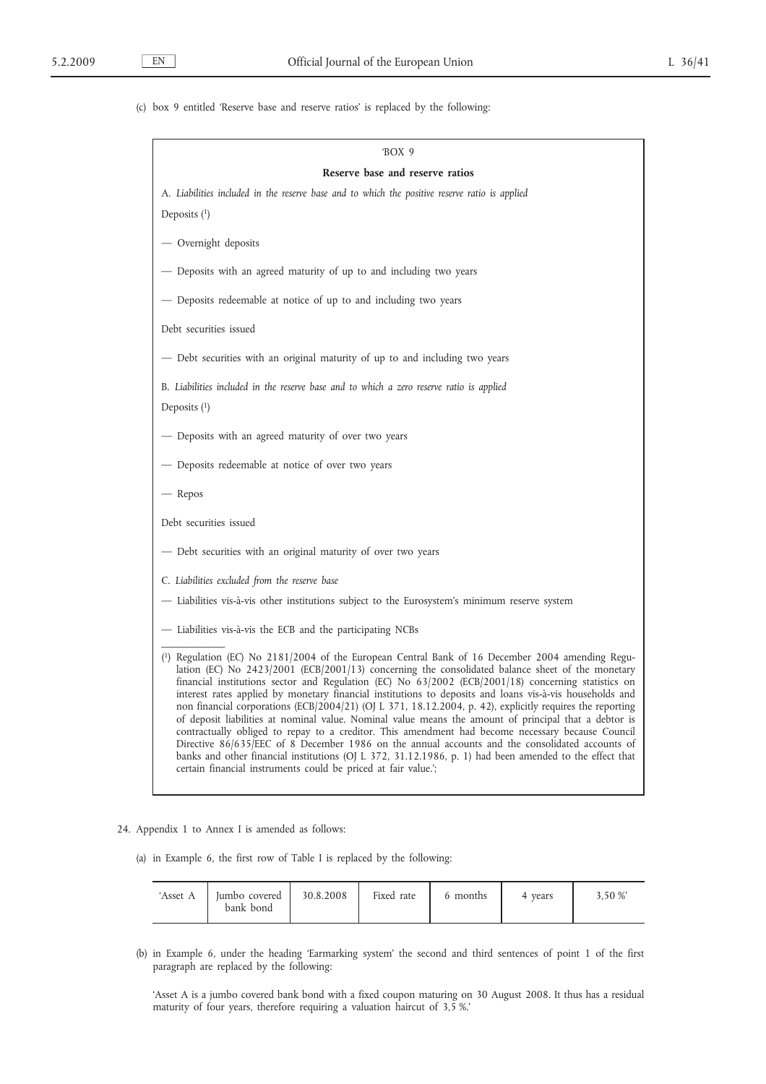(c) box 9 entitled 'Reserve base and reserve ratios' is replaced by the following:

| 'BOX 9                                                                                                                                                                                                                                                                                                                                                                                                                                                                                                                                                                                                                                                                                                                                                                                                                                                                                                                                                                                                                                               |
|------------------------------------------------------------------------------------------------------------------------------------------------------------------------------------------------------------------------------------------------------------------------------------------------------------------------------------------------------------------------------------------------------------------------------------------------------------------------------------------------------------------------------------------------------------------------------------------------------------------------------------------------------------------------------------------------------------------------------------------------------------------------------------------------------------------------------------------------------------------------------------------------------------------------------------------------------------------------------------------------------------------------------------------------------|
| Reserve base and reserve ratios                                                                                                                                                                                                                                                                                                                                                                                                                                                                                                                                                                                                                                                                                                                                                                                                                                                                                                                                                                                                                      |
| A. Liabilities included in the reserve base and to which the positive reserve ratio is applied                                                                                                                                                                                                                                                                                                                                                                                                                                                                                                                                                                                                                                                                                                                                                                                                                                                                                                                                                       |
| Deposits $(1)$                                                                                                                                                                                                                                                                                                                                                                                                                                                                                                                                                                                                                                                                                                                                                                                                                                                                                                                                                                                                                                       |
| — Overnight deposits                                                                                                                                                                                                                                                                                                                                                                                                                                                                                                                                                                                                                                                                                                                                                                                                                                                                                                                                                                                                                                 |
| - Deposits with an agreed maturity of up to and including two years                                                                                                                                                                                                                                                                                                                                                                                                                                                                                                                                                                                                                                                                                                                                                                                                                                                                                                                                                                                  |
| - Deposits redeemable at notice of up to and including two years                                                                                                                                                                                                                                                                                                                                                                                                                                                                                                                                                                                                                                                                                                                                                                                                                                                                                                                                                                                     |
| Debt securities issued                                                                                                                                                                                                                                                                                                                                                                                                                                                                                                                                                                                                                                                                                                                                                                                                                                                                                                                                                                                                                               |
| - Debt securities with an original maturity of up to and including two years                                                                                                                                                                                                                                                                                                                                                                                                                                                                                                                                                                                                                                                                                                                                                                                                                                                                                                                                                                         |
| B. Liabilities included in the reserve base and to which a zero reserve ratio is applied                                                                                                                                                                                                                                                                                                                                                                                                                                                                                                                                                                                                                                                                                                                                                                                                                                                                                                                                                             |
| Deposits $(1)$                                                                                                                                                                                                                                                                                                                                                                                                                                                                                                                                                                                                                                                                                                                                                                                                                                                                                                                                                                                                                                       |
| - Deposits with an agreed maturity of over two years                                                                                                                                                                                                                                                                                                                                                                                                                                                                                                                                                                                                                                                                                                                                                                                                                                                                                                                                                                                                 |
| - Deposits redeemable at notice of over two years                                                                                                                                                                                                                                                                                                                                                                                                                                                                                                                                                                                                                                                                                                                                                                                                                                                                                                                                                                                                    |
| — Repos                                                                                                                                                                                                                                                                                                                                                                                                                                                                                                                                                                                                                                                                                                                                                                                                                                                                                                                                                                                                                                              |
| Debt securities issued                                                                                                                                                                                                                                                                                                                                                                                                                                                                                                                                                                                                                                                                                                                                                                                                                                                                                                                                                                                                                               |
| - Debt securities with an original maturity of over two years                                                                                                                                                                                                                                                                                                                                                                                                                                                                                                                                                                                                                                                                                                                                                                                                                                                                                                                                                                                        |
| C. Liabilities excluded from the reserve base                                                                                                                                                                                                                                                                                                                                                                                                                                                                                                                                                                                                                                                                                                                                                                                                                                                                                                                                                                                                        |
| — Liabilities vis-à-vis other institutions subject to the Eurosystem's minimum reserve system                                                                                                                                                                                                                                                                                                                                                                                                                                                                                                                                                                                                                                                                                                                                                                                                                                                                                                                                                        |
| - Liabilities vis-à-vis the ECB and the participating NCBs                                                                                                                                                                                                                                                                                                                                                                                                                                                                                                                                                                                                                                                                                                                                                                                                                                                                                                                                                                                           |
| ( $\frac{1}{2}$ ) Regulation (EC) No 2181/2004 of the European Central Bank of 16 December 2004 amending Regu-<br>lation (EC) No $2423/2001$ (ECB/2001/13) concerning the consolidated balance sheet of the monetary<br>financial institutions sector and Regulation (EC) No $63/2002$ (ECB/2001/18) concerning statistics on<br>interest rates applied by monetary financial institutions to deposits and loans vis-à-vis households and<br>non financial corporations (ECB/2004/21) (OJ L 371, 18.12.2004, p. 42), explicitly requires the reporting<br>of deposit liabilities at nominal value. Nominal value means the amount of principal that a debtor is<br>contractually obliged to repay to a creditor. This amendment had become necessary because Council<br>Directive 86/635/EEC of 8 December 1986 on the annual accounts and the consolidated accounts of<br>banks and other financial institutions (OJ L 372, 31.12.1986, p. 1) had been amended to the effect that<br>certain financial instruments could be priced at fair value.'; |

24. Appendix 1 to Annex I is amended as follows:

(a) in Example 6, the first row of Table I is replaced by the following:

| 'Asset A | lumbo covered<br>bank bond | 30.8.2008 | Fixed rate | 6 months | 4 vears | 3.50 % |
|----------|----------------------------|-----------|------------|----------|---------|--------|
|----------|----------------------------|-----------|------------|----------|---------|--------|

(b) in Example 6, under the heading 'Earmarking system' the second and third sentences of point 1 of the first paragraph are replaced by the following:

'Asset A is a jumbo covered bank bond with a fixed coupon maturing on 30 August 2008. It thus has a residual maturity of four years, therefore requiring a valuation haircut of 3,5 %.'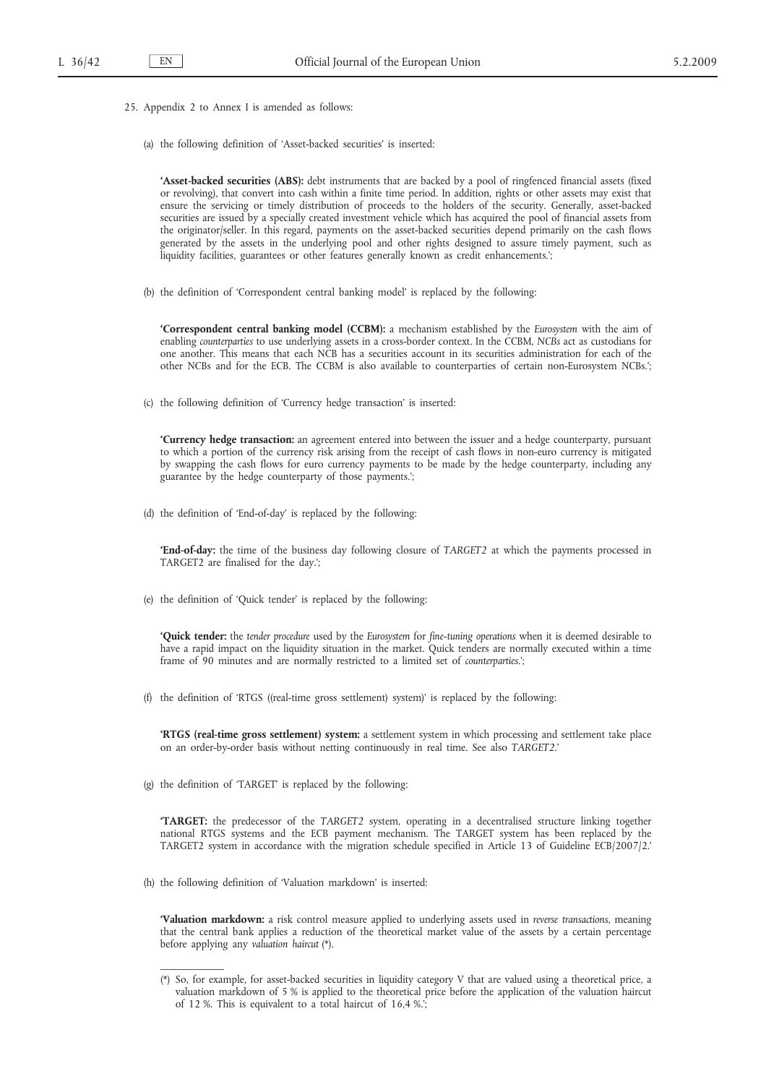- 25. Appendix 2 to Annex I is amended as follows:
	- (a) the following definition of 'Asset-backed securities' is inserted:

**'Asset-backed securities (ABS):** debt instruments that are backed by a pool of ringfenced financial assets (fixed or revolving), that convert into cash within a finite time period. In addition, rights or other assets may exist that ensure the servicing or timely distribution of proceeds to the holders of the security. Generally, asset-backed securities are issued by a specially created investment vehicle which has acquired the pool of financial assets from the originator/seller. In this regard, payments on the asset-backed securities depend primarily on the cash flows generated by the assets in the underlying pool and other rights designed to assure timely payment, such as liquidity facilities, guarantees or other features generally known as credit enhancements.';

(b) the definition of 'Correspondent central banking model' is replaced by the following:

**'Correspondent central banking model (CCBM):** a mechanism established by the *Eurosystem* with the aim of enabling *counterparties* to use underlying assets in a cross-border context. In the CCBM, *NCBs* act as custodians for one another. This means that each NCB has a securities account in its securities administration for each of the other NCBs and for the ECB. The CCBM is also available to counterparties of certain non-Eurosystem NCBs.';

(c) the following definition of 'Currency hedge transaction' is inserted:

**'Currency hedge transaction:** an agreement entered into between the issuer and a hedge counterparty, pursuant to which a portion of the currency risk arising from the receipt of cash flows in non-euro currency is mitigated by swapping the cash flows for euro currency payments to be made by the hedge counterparty, including any guarantee by the hedge counterparty of those payments.';

(d) the definition of 'End-of-day' is replaced by the following:

**'End-of-day:** the time of the business day following closure of *TARGET2* at which the payments processed in TARGET2 are finalised for the day.';

(e) the definition of 'Quick tender' is replaced by the following:

**'Quick tender:** the *tender procedure* used by the *Eurosystem* for *fine-tuning operations* when it is deemed desirable to have a rapid impact on the liquidity situation in the market. Quick tenders are normally executed within a time frame of 90 minutes and are normally restricted to a limited set of *counterparties*.';

(f) the definition of 'RTGS ((real-time gross settlement) system)' is replaced by the following:

**'RTGS (real-time gross settlement) system:** a settlement system in which processing and settlement take place on an order-by-order basis without netting continuously in real time. See also *TARGET2*.'

(g) the definition of 'TARGET' is replaced by the following:

**'TARGET:** the predecessor of the *TARGET2* system, operating in a decentralised structure linking together national RTGS systems and the ECB payment mechanism. The TARGET system has been replaced by the TARGET2 system in accordance with the migration schedule specified in Article 13 of Guideline ECB/2007/2.'

(h) the following definition of 'Valuation markdown' is inserted:

 $\overline{\phantom{a}}$ 

**'Valuation markdown:** a risk control measure applied to underlying assets used in *reverse transactions*, meaning that the central bank applies a reduction of the theoretical market value of the assets by a certain percentage before applying any *valuation haircut* (\*).

<sup>(\*)</sup> So, for example, for asset-backed securities in liquidity category V that are valued using a theoretical price, a valuation markdown of 5 % is applied to the theoretical price before the application of the valuation haircut of 12 %. This is equivalent to a total haircut of 16,4 %.';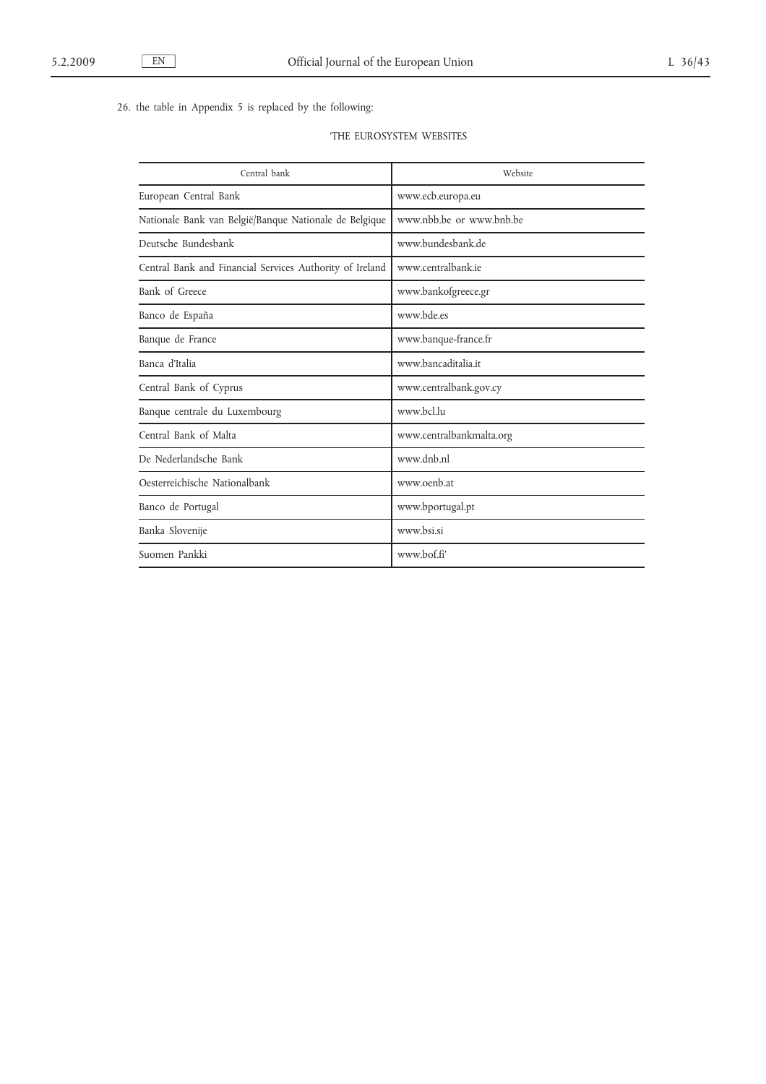26. the table in Appendix 5 is replaced by the following:

|  | <b>THE EUROSYSTEM WEBSITES</b> |  |
|--|--------------------------------|--|
|--|--------------------------------|--|

| Central bank                                             | Website                  |
|----------------------------------------------------------|--------------------------|
| European Central Bank                                    | www.ecb.europa.eu        |
| Nationale Bank van België/Banque Nationale de Belgique   | www.nbb.be or www.bnb.be |
| Deutsche Bundesbank                                      | www.bundesbank.de        |
| Central Bank and Financial Services Authority of Ireland | www.centralbank.ie       |
| Bank of Greece                                           | www.bankofgreece.gr      |
| Banco de España                                          | www.bde.es               |
| Banque de France                                         | www.banque-france.fr     |
| Banca d'Italia                                           | www.bancaditalia.it      |
| Central Bank of Cyprus                                   | www.centralbank.gov.cy   |
| Banque centrale du Luxembourg                            | www.bcl.lu               |
| Central Bank of Malta                                    | www.centralbankmalta.org |
| De Nederlandsche Bank                                    | www.dnb.nl               |
| Oesterreichische Nationalbank                            | www.oenb.at              |
| Banco de Portugal                                        | www.bportugal.pt         |
| Banka Slovenije                                          | www.bsi.si               |
| Suomen Pankki                                            | www.bof.fi'              |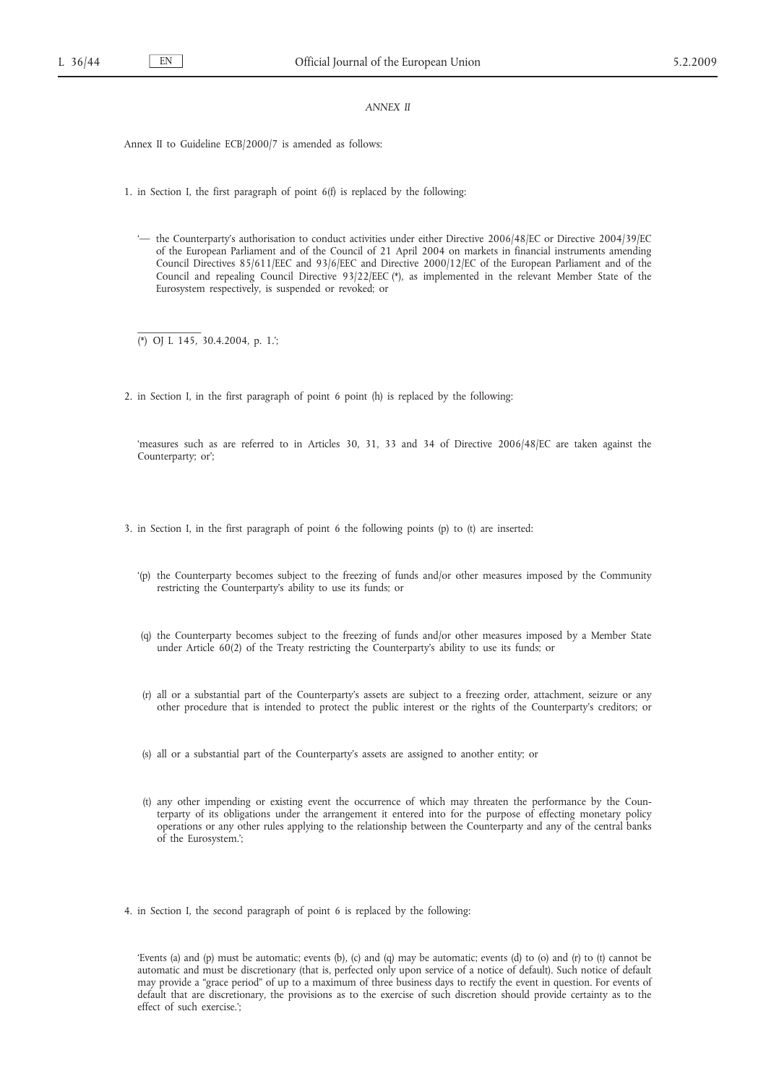## *ANNEX II*

Annex II to Guideline ECB/2000/7 is amended as follows:

1. in Section I, the first paragraph of point 6(f) is replaced by the following:

'— the Counterparty's authorisation to conduct activities under either Directive 2006/48/EC or Directive 2004/39/EC of the European Parliament and of the Council of 21 April 2004 on markets in financial instruments amending Council Directives 85/611/EEC and 93/6/EEC and Directive 2000/12/EC of the European Parliament and of the Council and repealing Council Directive 93/22/EEC (\*), as implemented in the relevant Member State of the Eurosystem respectively, is suspended or revoked; or

(\*) OJ L 145, 30.4.2004, p. 1.';

 $\overline{\phantom{a}}$  , where  $\overline{\phantom{a}}$ 

2. in Section I, in the first paragraph of point 6 point (h) is replaced by the following:

'measures such as are referred to in Articles 30, 31, 33 and 34 of Directive 2006/48/EC are taken against the Counterparty; or';

3. in Section I, in the first paragraph of point 6 the following points (p) to (t) are inserted:

- '(p) the Counterparty becomes subject to the freezing of funds and/or other measures imposed by the Community restricting the Counterparty's ability to use its funds; or
- (q) the Counterparty becomes subject to the freezing of funds and/or other measures imposed by a Member State under Article 60(2) of the Treaty restricting the Counterparty's ability to use its funds; or
- (r) all or a substantial part of the Counterparty's assets are subject to a freezing order, attachment, seizure or any other procedure that is intended to protect the public interest or the rights of the Counterparty's creditors; or
- (s) all or a substantial part of the Counterparty's assets are assigned to another entity; or
- (t) any other impending or existing event the occurrence of which may threaten the performance by the Counterparty of its obligations under the arrangement it entered into for the purpose of effecting monetary policy operations or any other rules applying to the relationship between the Counterparty and any of the central banks of the Eurosystem.';
- 4. in Section I, the second paragraph of point 6 is replaced by the following:

'Events (a) and (p) must be automatic; events (b), (c) and (q) may be automatic; events (d) to (o) and (r) to (t) cannot be automatic and must be discretionary (that is, perfected only upon service of a notice of default). Such notice of default may provide a "grace period" of up to a maximum of three business days to rectify the event in question. For events of default that are discretionary, the provisions as to the exercise of such discretion should provide certainty as to the effect of such exercise.';